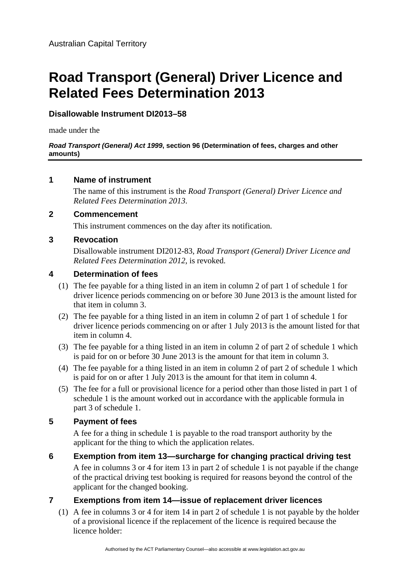# **Road Transport (General) Driver Licence and Related Fees Determination 2013**

## **Disallowable Instrument DI2013–58**

made under the

#### *Road Transport (General) Act 1999***, section 96 (Determination of fees, charges and other amounts)**

## **1 Name of instrument**

The name of this instrument is the *Road Transport (General) Driver Licence and Related Fees Determination 2013*.

## **2 Commencement**

This instrument commences on the day after its notification.

## **3 Revocation**

Disallowable instrument DI2012-83, *Road Transport (General) Driver Licence and Related Fees Determination 2012*, is revoked.

## **4 Determination of fees**

- (1) The fee payable for a thing listed in an item in column 2 of part 1 of schedule 1 for driver licence periods commencing on or before 30 June 2013 is the amount listed for that item in column 3.
- (2) The fee payable for a thing listed in an item in column 2 of part 1 of schedule 1 for driver licence periods commencing on or after 1 July 2013 is the amount listed for that item in column 4.
- (3) The fee payable for a thing listed in an item in column 2 of part 2 of schedule 1 which is paid for on or before 30 June 2013 is the amount for that item in column 3.
- (4) The fee payable for a thing listed in an item in column 2 of part 2 of schedule 1 which is paid for on or after 1 July 2013 is the amount for that item in column 4.
- (5) The fee for a full or provisional licence for a period other than those listed in part 1 of schedule 1 is the amount worked out in accordance with the applicable formula in part 3 of schedule 1.

## **5 Payment of fees**

A fee for a thing in schedule 1 is payable to the road transport authority by the applicant for the thing to which the application relates.

**6 Exemption from item 13—surcharge for changing practical driving test**  A fee in columns 3 or 4 for item 13 in part 2 of schedule 1 is not payable if the change of the practical driving test booking is required for reasons beyond the control of the applicant for the changed booking.

## **7 Exemptions from item 14—issue of replacement driver licences**

(1) A fee in columns 3 or 4 for item 14 in part 2 of schedule 1 is not payable by the holder of a provisional licence if the replacement of the licence is required because the licence holder: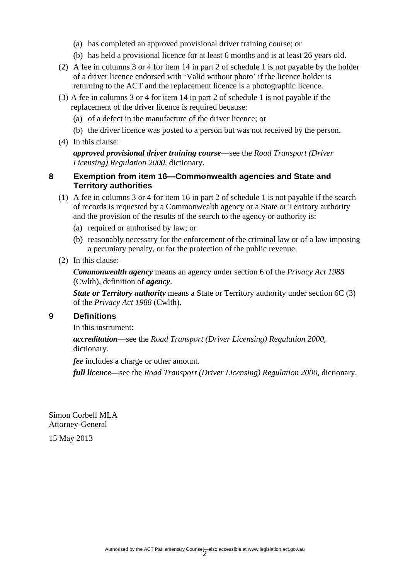- (a) has completed an approved provisional driver training course; or
- (b) has held a provisional licence for at least 6 months and is at least 26 years old.
- (2) A fee in columns 3 or 4 for item 14 in part 2 of schedule 1 is not payable by the holder of a driver licence endorsed with 'Valid without photo' if the licence holder is returning to the ACT and the replacement licence is a photographic licence.
- (3) A fee in columns 3 or 4 for item 14 in part 2 of schedule 1 is not payable if the replacement of the driver licence is required because:
	- (a) of a defect in the manufacture of the driver licence; or
	- (b) the driver licence was posted to a person but was not received by the person.
- (4) In this clause:

*approved provisional driver training course*—see the *Road Transport (Driver Licensing) Regulation 2000*, dictionary.

#### **8 Exemption from item 16—Commonwealth agencies and State and Territory authorities**

- (1) A fee in columns 3 or 4 for item 16 in part 2 of schedule 1 is not payable if the search of records is requested by a Commonwealth agency or a State or Territory authority and the provision of the results of the search to the agency or authority is:
	- (a) required or authorised by law; or
	- (b) reasonably necessary for the enforcement of the criminal law or of a law imposing a pecuniary penalty, or for the protection of the public revenue.
- (2) In this clause:

*Commonwealth agency* means an agency under section 6 of the *Privacy Act 1988* (Cwlth), definition of *agency*.

*State or Territory authority* means a State or Territory authority under section 6C (3) of the *Privacy Act 1988* (Cwlth).

#### **9 Definitions**

In this instrument:

*accreditation*—see the *Road Transport (Driver Licensing) Regulation 2000*, dictionary.

*fee* includes a charge or other amount.

*full licence*—see the *Road Transport (Driver Licensing) Regulation 2000*, dictionary.

Simon Corbell MLA Attorney-General

15 May 2013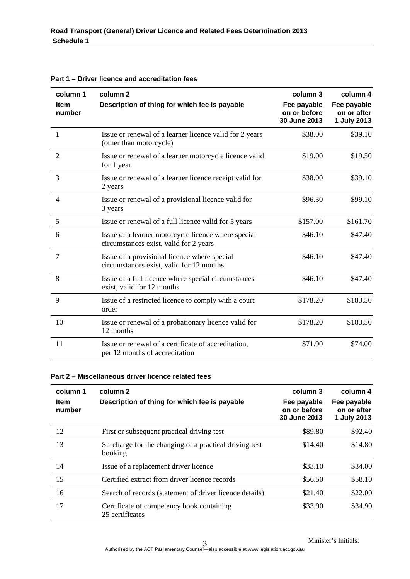| column 1<br><b>Item</b><br>number | column <sub>2</sub><br>Description of thing for which fee is payable                          | column 3<br>Fee payable<br>on or before<br>30 June 2013 | column 4<br>Fee payable<br>on or after<br>1 July 2013 |
|-----------------------------------|-----------------------------------------------------------------------------------------------|---------------------------------------------------------|-------------------------------------------------------|
| 1                                 | Issue or renewal of a learner licence valid for 2 years<br>(other than motorcycle)            | \$38.00                                                 | \$39.10                                               |
| $\overline{2}$                    | Issue or renewal of a learner motorcycle licence valid<br>for 1 year                          | \$19.00                                                 | \$19.50                                               |
| 3                                 | Issue or renewal of a learner licence receipt valid for<br>2 years                            | \$38.00                                                 | \$39.10                                               |
| $\overline{4}$                    | Issue or renewal of a provisional licence valid for<br>3 years                                | \$96.30                                                 | \$99.10                                               |
| 5                                 | Issue or renewal of a full licence valid for 5 years                                          | \$157.00                                                | \$161.70                                              |
| 6                                 | Issue of a learner motorcycle licence where special<br>circumstances exist, valid for 2 years | \$46.10                                                 | \$47.40                                               |
| $\overline{7}$                    | Issue of a provisional licence where special<br>circumstances exist, valid for 12 months      | \$46.10                                                 | \$47.40                                               |
| 8                                 | Issue of a full licence where special circumstances<br>exist, valid for 12 months             | \$46.10                                                 | \$47.40                                               |
| 9                                 | Issue of a restricted licence to comply with a court<br>order                                 | \$178.20                                                | \$183.50                                              |
| 10                                | Issue or renewal of a probationary licence valid for<br>12 months                             | \$178.20                                                | \$183.50                                              |
| 11                                | Issue or renewal of a certificate of accreditation,<br>per 12 months of accreditation         | \$71.90                                                 | \$74.00                                               |

**Part 1 – Driver licence and accreditation fees** 

#### **Part 2 – Miscellaneous driver licence related fees**

| column 1<br>Item<br>number | column 2<br>Description of thing for which fee is payable         | column 3<br>Fee payable<br>on or before<br>30 June 2013 | column 4<br>Fee payable<br>on or after<br>1 July 2013 |
|----------------------------|-------------------------------------------------------------------|---------------------------------------------------------|-------------------------------------------------------|
| 12                         | First or subsequent practical driving test                        | \$89.80                                                 | \$92.40                                               |
| 13                         | Surcharge for the changing of a practical driving test<br>booking | \$14.40                                                 | \$14.80                                               |
| 14                         | Issue of a replacement driver licence                             | \$33.10                                                 | \$34.00                                               |
| 15                         | Certified extract from driver licence records                     | \$56.50                                                 | \$58.10                                               |
| 16                         | Search of records (statement of driver licence details)           | \$21.40                                                 | \$22.00                                               |
| 17                         | Certificate of competency book containing<br>25 certificates      | \$33.90                                                 | \$34.90                                               |